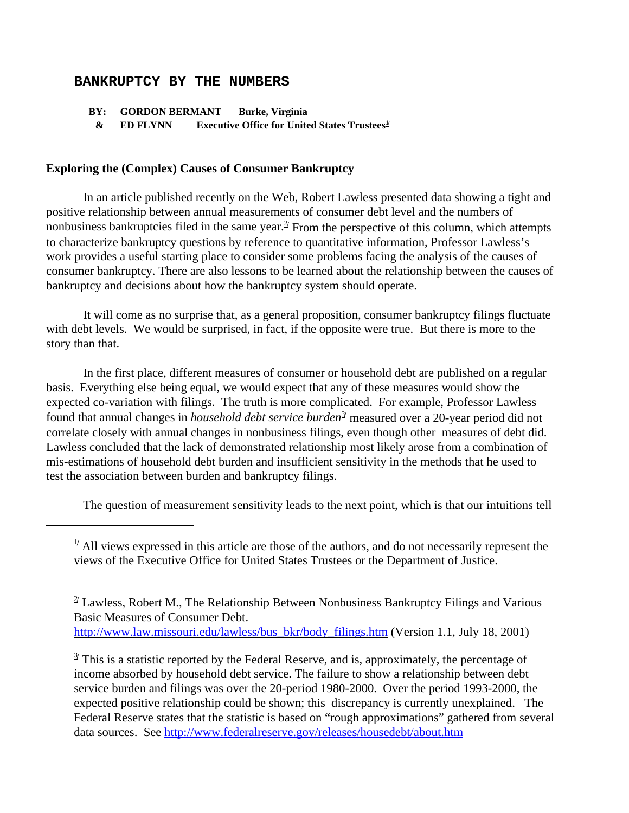## **BANKRUPTCY BY THE NUMBERS**

 **BY: GORDON BERMANT Burke, Virginia** 

 **& ED FLYNN Executive Office for United States Trustees1/** 

## **Exploring the (Complex) Causes of Consumer Bankruptcy**

In an article published recently on the Web, Robert Lawless presented data showing a tight and positive relationship between annual measurements of consumer debt level and the numbers of nonbusiness bankruptcies filed in the same year.<sup>2 $\ell$ </sup> From the perspective of this column, which attempts to characterize bankruptcy questions by reference to quantitative information, Professor Lawless's work provides a useful starting place to consider some problems facing the analysis of the causes of consumer bankruptcy. There are also lessons to be learned about the relationship between the causes of bankruptcy and decisions about how the bankruptcy system should operate.

It will come as no surprise that, as a general proposition, consumer bankruptcy filings fluctuate with debt levels. We would be surprised, in fact, if the opposite were true. But there is more to the story than that.

In the first place, different measures of consumer or household debt are published on a regular basis. Everything else being equal, we would expect that any of these measures would show the expected co-variation with filings.The truth is more complicated. For example, Professor Lawless found that annual changes in *household debt service burden<sup>3</sup>* measured over a 20-year period did not correlate closely with annual changes in nonbusiness filings, even though other measures of debt did. Lawless concluded that the lack of demonstrated relationship most likely arose from a combination of mis-estimations of household debt burden and insufficient sensitivity in the methods that he used to test the association between burden and bankruptcy filings.

The question of measurement sensitivity leads to the next point, which is that our intuitions tell

 $\frac{1}{2}$  All views expressed in this article are those of the authors, and do not necessarily represent the views of the Executive Office for United States Trustees or the Department of Justice.

<sup>&</sup>lt;sup>2</sup> Lawless, Robert M., The Relationship Between Nonbusiness Bankruptcy Filings and Various Basic Measures of Consumer Debt. http://www.law.missouri.edu/lawless/bus\_bkr/body\_filings.htm (Version 1.1, July 18, 2001)

<sup>&</sup>lt;sup>3/</sup> This is a statistic reported by the Federal Reserve, and is, approximately, the percentage of income absorbed by household debt service. The failure to show a relationship between debt service burden and filings was over the 20-period 1980-2000. Over the period 1993-2000, the expected positive relationship could be shown; this discrepancy is currently unexplained. The Federal Reserve states that the statistic is based on "rough approximations" gathered from several data sources. See http://www.federalreserve.gov/releases/housedebt/about.htm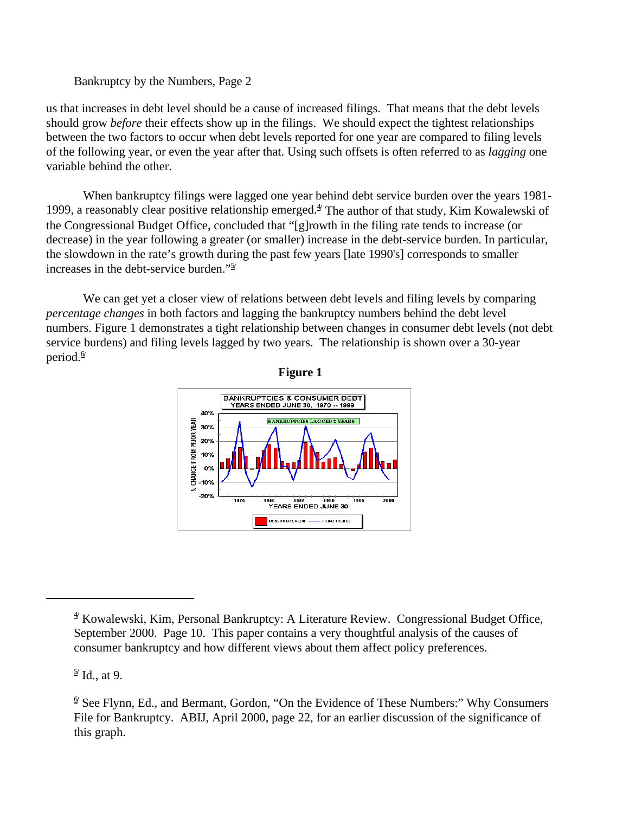Bankruptcy by the Numbers, Page 2

us that increases in debt level should be a cause of increased filings. That means that the debt levels should grow *before* their effects show up in the filings. We should expect the tightest relationships between the two factors to occur when debt levels reported for one year are compared to filing levels of the following year, or even the year after that. Using such offsets is often referred to as *lagging* one variable behind the other.

When bankruptcy filings were lagged one year behind debt service burden over the years 1981- 1999, a reasonably clear positive relationship emerged.<sup>4</sup> The author of that study, Kim Kowalewski of the Congressional Budget Office, concluded that "[g]rowth in the filing rate tends to increase (or decrease) in the year following a greater (or smaller) increase in the debt-service burden. In particular, the slowdown in the rate's growth during the past few years [late 1990's] corresponds to smaller increases in the debt-service burden."<sup>5/</sup>

We can get yet a closer view of relations between debt levels and filing levels by comparing *percentage changes* in both factors and lagging the bankruptcy numbers behind the debt level numbers. Figure 1 demonstrates a tight relationship between changes in consumer debt levels (not debt service burdens) and filing levels lagged by two years. The relationship is shown over a 30-year period. $\frac{6}{7}$ 



**Figure 1**

5**/** Id., at 9.

<sup>4</sup>**/** Kowalewski, Kim, Personal Bankruptcy: A Literature Review. Congressional Budget Office, September 2000. Page 10. This paper contains a very thoughtful analysis of the causes of consumer bankruptcy and how different views about them affect policy preferences.

<sup>&</sup>lt;sup>9</sup> See Flynn, Ed., and Bermant, Gordon, "On the Evidence of These Numbers:" Why Consumers File for Bankruptcy. ABIJ, April 2000, page 22, for an earlier discussion of the significance of this graph.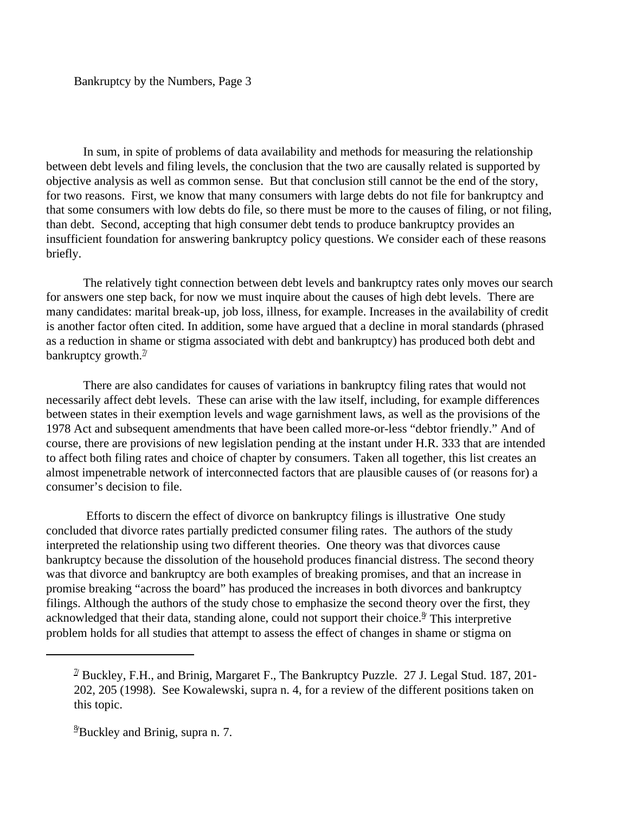In sum, in spite of problems of data availability and methods for measuring the relationship between debt levels and filing levels, the conclusion that the two are causally related is supported by objective analysis as well as common sense. But that conclusion still cannot be the end of the story, for two reasons. First, we know that many consumers with large debts do not file for bankruptcy and that some consumers with low debts do file, so there must be more to the causes of filing, or not filing, than debt. Second, accepting that high consumer debt tends to produce bankruptcy provides an insufficient foundation for answering bankruptcy policy questions. We consider each of these reasons briefly.

The relatively tight connection between debt levels and bankruptcy rates only moves our search for answers one step back, for now we must inquire about the causes of high debt levels. There are many candidates: marital break-up, job loss, illness, for example. Increases in the availability of credit is another factor often cited. In addition, some have argued that a decline in moral standards (phrased as a reduction in shame or stigma associated with debt and bankruptcy) has produced both debt and bankruptcy growth. $\frac{\pi}{2}$ 

There are also candidates for causes of variations in bankruptcy filing rates that would not necessarily affect debt levels. These can arise with the law itself, including, for example differences between states in their exemption levels and wage garnishment laws, as well as the provisions of the 1978 Act and subsequent amendments that have been called more-or-less "debtor friendly." And of course, there are provisions of new legislation pending at the instant under H.R. 333 that are intended to affect both filing rates and choice of chapter by consumers. Taken all together, this list creates an almost impenetrable network of interconnected factors that are plausible causes of (or reasons for) a consumer's decision to file.

 Efforts to discern the effect of divorce on bankruptcy filings is illustrative One study concluded that divorce rates partially predicted consumer filing rates. The authors of the study interpreted the relationship using two different theories. One theory was that divorces cause bankruptcy because the dissolution of the household produces financial distress. The second theory was that divorce and bankruptcy are both examples of breaking promises, and that an increase in promise breaking "across the board" has produced the increases in both divorces and bankruptcy filings. Although the authors of the study chose to emphasize the second theory over the first, they acknowledged that their data, standing alone, could not support their choice.<sup>8</sup> This interpretive problem holds for all studies that attempt to assess the effect of changes in shame or stigma on

<sup>7</sup>**/** Buckley, F.H., and Brinig, Margaret F., The Bankruptcy Puzzle. 27 J. Legal Stud. 187, 201- 202, 205 (1998). See Kowalewski, supra n. 4, for a review of the different positions taken on this topic.